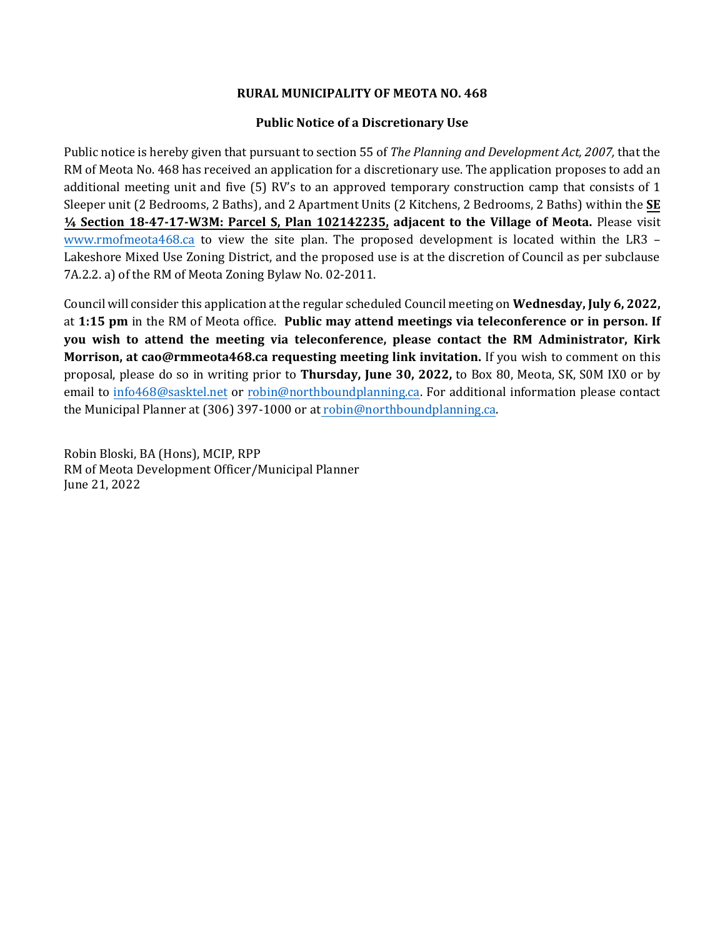## **RURAL MUNICIPALITY OF MEOTA NO. 468**

## **Public Notice of a Discretionary Use**

Public notice is hereby given that pursuant to section 55 of *The Planning and Development Act, 2007,* that the RM of Meota No. 468 has received an application for a discretionary use. The application proposes to add an additional meeting unit and five (5) RV's to an approved temporary construction camp that consists of 1 Sleeper unit (2 Bedrooms, 2 Baths), and 2 Apartment Units (2 Kitchens, 2 Bedrooms, 2 Baths) within the **SE ¼ Section 18-47-17-W3M: Parcel S, Plan 102142235, adjacent to the Village of Meota.** Please visit [www.rmofmeota468.ca](http://www.rmofmeota468.ca/) to view the site plan. The proposed development is located within the LR3 – Lakeshore Mixed Use Zoning District, and the proposed use is at the discretion of Council as per subclause 7A.2.2. a) of the RM of Meota Zoning Bylaw No. 02-2011.

Council will consider this application at the regular scheduled Council meeting on **Wednesday, July 6, 2022,**  at **1:15 pm** in the RM of Meota office. **Public may attend meetings via teleconference or in person. If you wish to attend the meeting via teleconference, please contact the RM Administrator, Kirk Morrison, at cao@rmmeota468.ca requesting meeting link invitation.** If you wish to comment on this proposal, please do so in writing prior to **Thursday, June 30, 2022,** to Box 80, Meota, SK, S0M IX0 or by email to [info468@sasktel.net](mailto:info468@sasktel.net) or [robin@northboundplanning.ca.](mailto:robin@northboundplanning.ca) For additional information please contact the Municipal Planner at (306) 397-1000 or at robin@northboundplanning.ca.

Robin Bloski, BA (Hons), MCIP, RPP RM of Meota Development Officer/Municipal Planner June 21, 2022